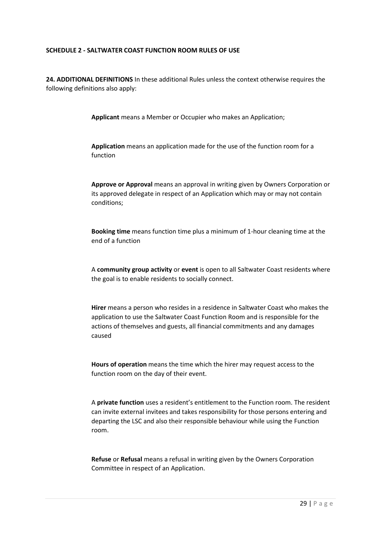#### **SCHEDULE 2 - SALTWATER COAST FUNCTION ROOM RULES OF USE**

**24. ADDITIONAL DEFINITIONS** In these additional Rules unless the context otherwise requires the following definitions also apply:

**Applicant** means a Member or Occupier who makes an Application;

**Application** means an application made for the use of the function room for a function

**Approve or Approval** means an approval in writing given by Owners Corporation or its approved delegate in respect of an Application which may or may not contain conditions;

**Booking time** means function time plus a minimum of 1-hour cleaning time at the end of a function

A **community group activity** or **event** is open to all Saltwater Coast residents where the goal is to enable residents to socially connect.

**Hirer** means a person who resides in a residence in Saltwater Coast who makes the application to use the Saltwater Coast Function Room and is responsible for the actions of themselves and guests, all financial commitments and any damages caused

**Hours of operation** means the time which the hirer may request access to the function room on the day of their event.

A **private function** uses a resident's entitlement to the Function room. The resident can invite external invitees and takes responsibility for those persons entering and departing the LSC and also their responsible behaviour while using the Function room.

**Refuse** or **Refusal** means a refusal in writing given by the Owners Corporation Committee in respect of an Application.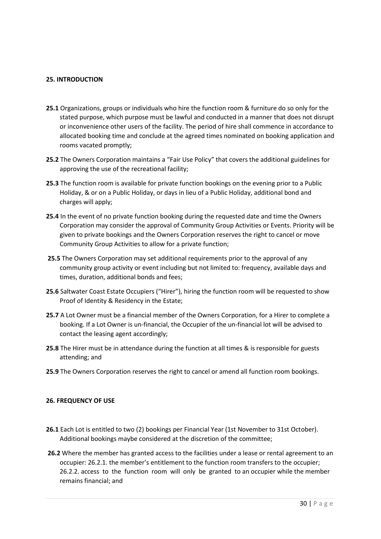# **25. INTRODUCTION**

- **25.1** Organizations, groups or individuals who hire the function room & furniture do so only for the stated purpose, which purpose must be lawful and conducted in a manner that does not disrupt or inconvenience other users of the facility. The period of hire shall commence in accordance to allocated booking time and conclude at the agreed times nominated on booking application and rooms vacated promptly;
- **25.2** The Owners Corporation maintains a "Fair Use Policy" that covers the additional guidelines for approving the use of the recreational facility;
- **25.3** The function room is available for private function bookings on the evening prior to a Public Holiday, & or on a Public Holiday, or days in lieu of a Public Holiday, additional bond and charges will apply;
- **25.4** In the event of no private function booking during the requested date and time the Owners Corporation may consider the approval of Community Group Activities or Events. Priority will be given to private bookings and the Owners Corporation reserves the right to cancel or move Community Group Activities to allow for a private function;
- **25.5** The Owners Corporation may set additional requirements prior to the approval of any community group activity or event including but not limited to: frequency, available days and times, duration, additional bonds and fees;
- **25.6** Saltwater Coast Estate Occupiers ("Hirer"), hiring the function room will be requested to show Proof of Identity & Residency in the Estate;
- **25.7** A Lot Owner must be a financial member of the Owners Corporation, for a Hirer to complete a booking. If a Lot Owner is un-financial, the Occupier of the un-financial lot will be advised to contact the leasing agent accordingly;
- **25.8** The Hirer must be in attendance during the function at all times & is responsible for guests attending; and
- **25.9** The Owners Corporation reserves the right to cancel or amend all function room bookings.

# **26. FREQUENCY OF USE**

- **26.1** Each Lot is entitled to two (2) bookings per Financial Year (1st November to 31st October). Additional bookings maybe considered at the discretion of the committee;
- **26.2** Where the member has granted access to the facilities under a lease or rental agreement to an occupier: 26.2.1. the member's entitlement to the function room transfers to the occupier; 26.2.2. access to the function room will only be granted to an occupier while the member remains financial; and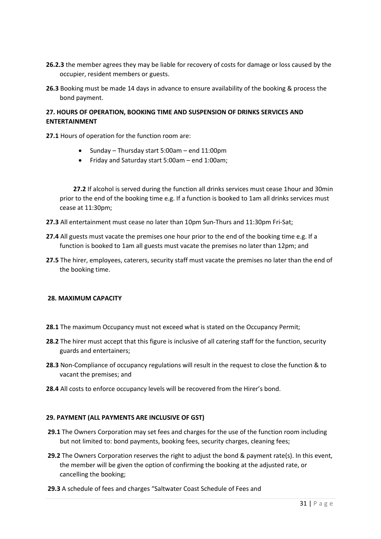- **26.2.3** the member agrees they may be liable for recovery of costs for damage or loss caused by the occupier, resident members or guests.
- **26.3** Booking must be made 14 days in advance to ensure availability of the booking & process the bond payment.

# **27. HOURS OF OPERATION, BOOKING TIME AND SUSPENSION OF DRINKS SERVICES AND ENTERTAINMENT**

**27.1** Hours of operation for the function room are:

- Sunday Thursday start 5:00am end 11:00pm
- Friday and Saturday start 5:00am end 1:00am;

**27.2** If alcohol is served during the function all drinks services must cease 1hour and 30min prior to the end of the booking time e.g. If a function is booked to 1am all drinks services must cease at 11:30pm;

- **27.3** All entertainment must cease no later than 10pm Sun-Thurs and 11:30pm Fri-Sat;
- **27.4** All guests must vacate the premises one hour prior to the end of the booking time e.g. If a function is booked to 1am all guests must vacate the premises no later than 12pm; and
- **27.5** The hirer, employees, caterers, security staff must vacate the premises no later than the end of the booking time.

# **28. MAXIMUM CAPACITY**

- **28.1** The maximum Occupancy must not exceed what is stated on the Occupancy Permit;
- **28.2** The hirer must accept that this figure is inclusive of all catering staff for the function, security guards and entertainers;
- **28.3** Non-Compliance of occupancy regulations will result in the request to close the function & to vacant the premises; and
- **28.4** All costs to enforce occupancy levels will be recovered from the Hirer's bond.

# **29. PAYMENT (ALL PAYMENTS ARE INCLUSIVE OF GST)**

- 29.1 The Owners Corporation may set fees and charges for the use of the function room including but not limited to: bond payments, booking fees, security charges, cleaning fees;
- **29.2** The Owners Corporation reserves the right to adjust the bond & payment rate(s). In this event, the member will be given the option of confirming the booking at the adjusted rate, or cancelling the booking;
- **29.3** A schedule of fees and charges "Saltwater Coast Schedule of Fees and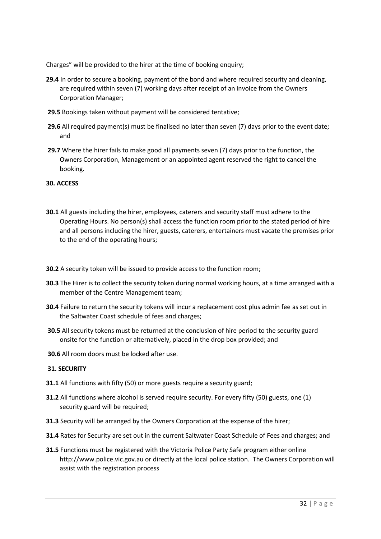Charges" will be provided to the hirer at the time of booking enquiry;

- **29.4** In order to secure a booking, payment of the bond and where required security and cleaning, are required within seven (7) working days after receipt of an invoice from the Owners Corporation Manager;
- **29.5** Bookings taken without payment will be considered tentative;
- **29.6** All required payment(s) must be finalised no later than seven (7) days prior to the event date; and
- **29.7** Where the hirer fails to make good all payments seven (7) days prior to the function, the Owners Corporation, Management or an appointed agent reserved the right to cancel the booking.

# **30. ACCESS**

- **30.1** All guests including the hirer, employees, caterers and security staff must adhere to the Operating Hours. No person(s) shall access the function room prior to the stated period of hire and all persons including the hirer, guests, caterers, entertainers must vacate the premises prior to the end of the operating hours;
- **30.2** A security token will be issued to provide access to the function room;
- **30.3** The Hirer is to collect the security token during normal working hours, at a time arranged with a member of the Centre Management team;
- **30.4** Failure to return the security tokens will incur a replacement cost plus admin fee as set out in the Saltwater Coast schedule of fees and charges;
- **30.5** All security tokens must be returned at the conclusion of hire period to the security guard onsite for the function or alternatively, placed in the drop box provided; and
- **30.6** All room doors must be locked after use.

# **31. SECURITY**

- **31.1** All functions with fifty (50) or more guests require a security guard;
- **31.2** All functions where alcohol is served require security. For every fifty (50) guests, one (1) security guard will be required;
- **31.3** Security will be arranged by the Owners Corporation at the expense of the hirer;
- **31.4** Rates for Security are set out in the current Saltwater Coast Schedule of Fees and charges; and
- **31.5** Functions must be registered with the Victoria Police Party Safe program either online http://www.police.vic.gov.au or directly at the local police station. The Owners Corporation will assist with the registration process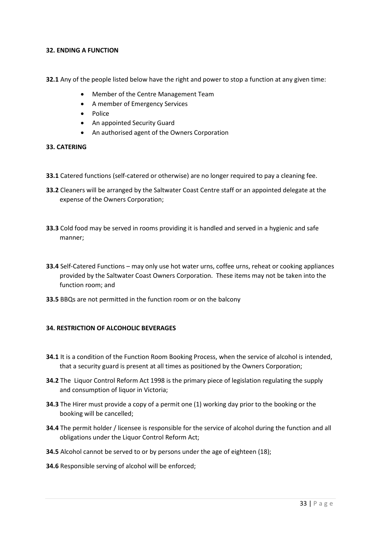# **32. ENDING A FUNCTION**

**32.1** Any of the people listed below have the right and power to stop a function at any given time:

- Member of the Centre Management Team
- A member of Emergency Services
- Police
- An appointed Security Guard
- An authorised agent of the Owners Corporation

#### **33. CATERING**

- **33.1** Catered functions (self-catered or otherwise) are no longer required to pay a cleaning fee.
- **33.2** Cleaners will be arranged by the Saltwater Coast Centre staff or an appointed delegate at the expense of the Owners Corporation;
- **33.3** Cold food may be served in rooms providing it is handled and served in a hygienic and safe manner;
- **33.4** Self-Catered Functions may only use hot water urns, coffee urns, reheat or cooking appliances provided by the Saltwater Coast Owners Corporation. These items may not be taken into the function room; and
- **33.5** BBQs are not permitted in the function room or on the balcony

# **34. RESTRICTION OF ALCOHOLIC BEVERAGES**

- **34.1** It is a condition of the Function Room Booking Process, when the service of alcohol is intended, that a security guard is present at all times as positioned by the Owners Corporation;
- **34.2** The Liquor Control Reform Act 1998 is the primary piece of legislation regulating the supply and consumption of liquor in Victoria:
- **34.3** The Hirer must provide a copy of a permit one (1) working day prior to the booking or the booking will be cancelled;
- **34.4** The permit holder / licensee is responsible for the service of alcohol during the function and all obligations under the Liquor Control Reform Act;
- **34.5** Alcohol cannot be served to or by persons under the age of eighteen (18);
- **34.6** Responsible serving of alcohol will be enforced;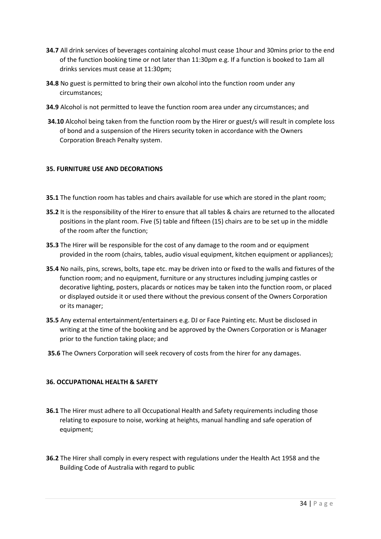- **34.7** All drink services of beverages containing alcohol must cease 1hour and 30mins prior to the end of the function booking time or not later than 11:30pm e.g. If a function is booked to 1am all drinks services must cease at 11:30pm;
- **34.8** No guest is permitted to bring their own alcohol into the function room under any circumstances;
- **34.9** Alcohol is not permitted to leave the function room area under any circumstances; and
- **34.10** Alcohol being taken from the function room by the Hirer or guest/s will result in complete loss of bond and a suspension of the Hirers security token in accordance with the Owners Corporation Breach Penalty system.

# **35. FURNITURE USE AND DECORATIONS**

- **35.1** The function room has tables and chairs available for use which are stored in the plant room;
- **35.2** It is the responsibility of the Hirer to ensure that all tables & chairs are returned to the allocated positions in the plant room. Five (5) table and fifteen (15) chairs are to be set up in the middle of the room after the function;
- **35.3** The Hirer will be responsible for the cost of any damage to the room and or equipment provided in the room (chairs, tables, audio visual equipment, kitchen equipment or appliances);
- **35.4** No nails, pins, screws, bolts, tape etc. may be driven into or fixed to the walls and fixtures of the function room; and no equipment, furniture or any structures including jumping castles or decorative lighting, posters, placards or notices may be taken into the function room, or placed or displayed outside it or used there without the previous consent of the Owners Corporation or its manager;
- **35.5** Any external entertainment/entertainers e.g. DJ or Face Painting etc. Must be disclosed in writing at the time of the booking and be approved by the Owners Corporation or is Manager prior to the function taking place; and
- **35.6** The Owners Corporation will seek recovery of costs from the hirer for any damages.

# **36. OCCUPATIONAL HEALTH & SAFETY**

- **36.1** The Hirer must adhere to all Occupational Health and Safety requirements including those relating to exposure to noise, working at heights, manual handling and safe operation of equipment;
- **36.2** The Hirer shall comply in every respect with regulations under the Health Act 1958 and the Building Code of Australia with regard to public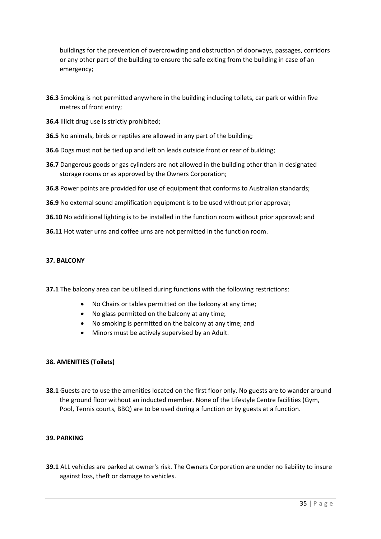buildings for the prevention of overcrowding and obstruction of doorways, passages, corridors or any other part of the building to ensure the safe exiting from the building in case of an emergency;

- **36.3** Smoking is not permitted anywhere in the building including toilets, car park or within five metres of front entry;
- **36.4** Illicit drug use is strictly prohibited;
- **36.5** No animals, birds or reptiles are allowed in any part of the building;
- **36.6** Dogs must not be tied up and left on leads outside front or rear of building;
- **36.7** Dangerous goods or gas cylinders are not allowed in the building other than in designated storage rooms or as approved by the Owners Corporation;
- **36.8** Power points are provided for use of equipment that conforms to Australian standards;
- **36.9** No external sound amplification equipment is to be used without prior approval;
- **36.10** No additional lighting is to be installed in the function room without prior approval; and
- **36.11** Hot water urns and coffee urns are not permitted in the function room.

#### **37. BALCONY**

- **37.1** The balcony area can be utilised during functions with the following restrictions:
	- No Chairs or tables permitted on the balcony at any time;
	- No glass permitted on the balcony at any time;
	- No smoking is permitted on the balcony at any time; and
	- Minors must be actively supervised by an Adult.

# **38. AMENITIES (Toilets)**

**38.1** Guests are to use the amenities located on the first floor only. No guests are to wander around the ground floor without an inducted member. None of the Lifestyle Centre facilities (Gym, Pool, Tennis courts, BBQ) are to be used during a function or by guests at a function.

# **39. PARKING**

**39.1** ALL vehicles are parked at owner's risk. The Owners Corporation are under no liability to insure against loss, theft or damage to vehicles.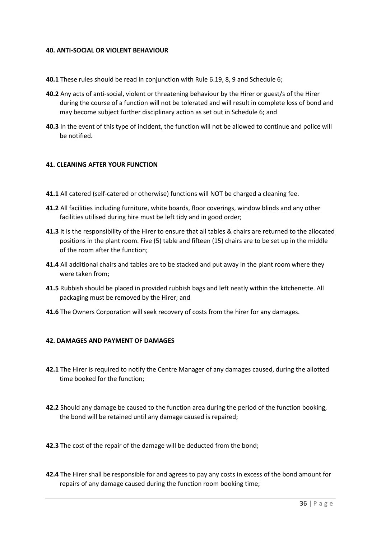#### **40. ANTI-SOCIAL OR VIOLENT BEHAVIOUR**

- **40.1** These rules should be read in conjunction with Rule 6.19, 8, 9 and Schedule 6;
- **40.2** Any acts of anti-social, violent or threatening behaviour by the Hirer or guest/s of the Hirer during the course of a function will not be tolerated and will result in complete loss of bond and may become subject further disciplinary action as set out in Schedule 6; and
- **40.3** In the event of this type of incident, the function will not be allowed to continue and police will be notified.

# **41. CLEANING AFTER YOUR FUNCTION**

- **41.1** All catered (self-catered or otherwise) functions will NOT be charged a cleaning fee.
- **41.2** All facilities including furniture, white boards, floor coverings, window blinds and any other facilities utilised during hire must be left tidy and in good order;
- **41.3** It is the responsibility of the Hirer to ensure that all tables & chairs are returned to the allocated positions in the plant room. Five (5) table and fifteen (15) chairs are to be set up in the middle of the room after the function;
- **41.4** All additional chairs and tables are to be stacked and put away in the plant room where they were taken from;
- **41.5** Rubbish should be placed in provided rubbish bags and left neatly within the kitchenette. All packaging must be removed by the Hirer; and
- **41.6** The Owners Corporation will seek recovery of costs from the hirer for any damages.

# **42. DAMAGES AND PAYMENT OF DAMAGES**

- **42.1** The Hirer is required to notify the Centre Manager of any damages caused, during the allotted time booked for the function;
- **42.2** Should any damage be caused to the function area during the period of the function booking, the bond will be retained until any damage caused is repaired;
- **42.3** The cost of the repair of the damage will be deducted from the bond;
- **42.4** The Hirer shall be responsible for and agrees to pay any costs in excess of the bond amount for repairs of any damage caused during the function room booking time;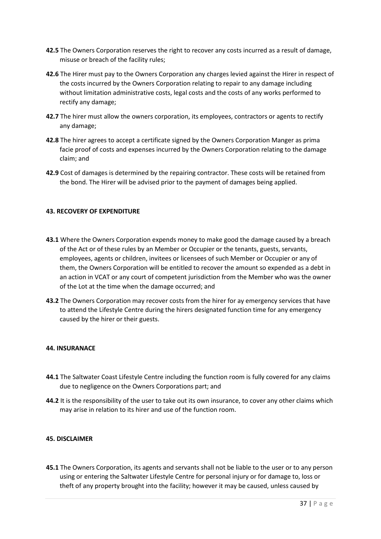- **42.5** The Owners Corporation reserves the right to recover any costs incurred as a result of damage, misuse or breach of the facility rules;
- **42.6** The Hirer must pay to the Owners Corporation any charges levied against the Hirer in respect of the costs incurred by the Owners Corporation relating to repair to any damage including without limitation administrative costs, legal costs and the costs of any works performed to rectify any damage;
- **42.7** The hirer must allow the owners corporation, its employees, contractors or agents to rectify any damage;
- **42.8** The hirer agrees to accept a certificate signed by the Owners Corporation Manger as prima facie proof of costs and expenses incurred by the Owners Corporation relating to the damage claim; and
- **42.9** Cost of damages is determined by the repairing contractor. These costs will be retained from the bond. The Hirer will be advised prior to the payment of damages being applied.

# **43. RECOVERY OF EXPENDITURE**

- **43.1** Where the Owners Corporation expends money to make good the damage caused by a breach of the Act or of these rules by an Member or Occupier or the tenants, guests, servants, employees, agents or children, invitees or licensees of such Member or Occupier or any of them, the Owners Corporation will be entitled to recover the amount so expended as a debt in an action in VCAT or any court of competent jurisdiction from the Member who was the owner of the Lot at the time when the damage occurred; and
- **43.2** The Owners Corporation may recover costs from the hirer for ay emergency services that have to attend the Lifestyle Centre during the hirers designated function time for any emergency caused by the hirer or their guests.

# **44. INSURANACE**

- **44.1** The Saltwater Coast Lifestyle Centre including the function room is fully covered for any claims due to negligence on the Owners Corporations part; and
- **44.2** It is the responsibility of the user to take out its own insurance, to cover any other claims which may arise in relation to its hirer and use of the function room.

# **45. DISCLAIMER**

**45.1** The Owners Corporation, its agents and servants shall not be liable to the user or to any person using or entering the Saltwater Lifestyle Centre for personal injury or for damage to, loss or theft of any property brought into the facility; however it may be caused, unless caused by